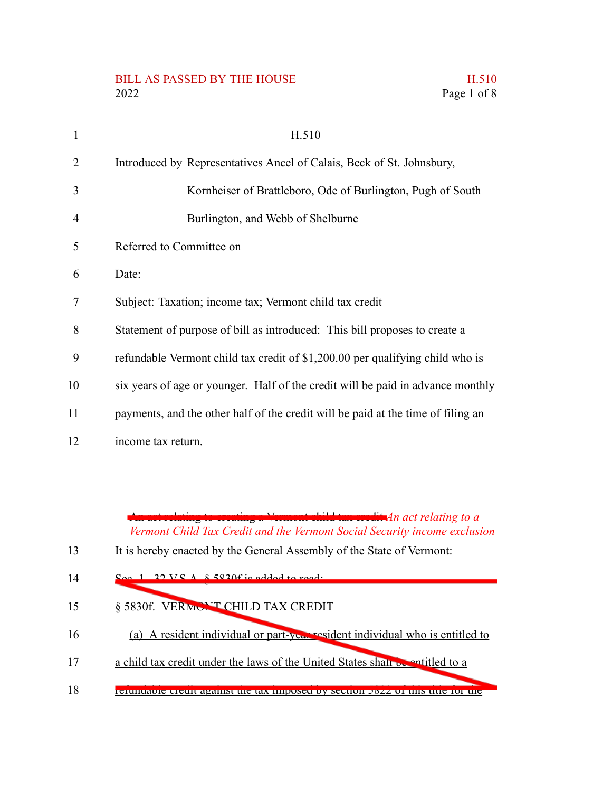## BILL AS PASSED BY THE HOUSE H.510 2022 Page 1 of 8

| H.510                                                                            |
|----------------------------------------------------------------------------------|
| Introduced by Representatives Ancel of Calais, Beck of St. Johnsbury,            |
| Kornheiser of Brattleboro, Ode of Burlington, Pugh of South                      |
| Burlington, and Webb of Shelburne                                                |
| Referred to Committee on                                                         |
| Date:                                                                            |
| Subject: Taxation; income tax; Vermont child tax credit                          |
| Statement of purpose of bill as introduced: This bill proposes to create a       |
| refundable Vermont child tax credit of \$1,200.00 per qualifying child who is    |
| six years of age or younger. Half of the credit will be paid in advance monthly  |
| payments, and the other half of the credit will be paid at the time of filing an |

income tax return. 12

1

2

3

4

5

6

7

8

9

10

11

An act relating to creating a Vermont child tax credit *An act relating to a Vermont Child Tax Credit and the Vermont Social Security income exclusion*

- $V.S.A. S.5820f is added to$ 14
- § 5830f. VERMONT CHILD TAX CREDIT 15
- (a) A resident individual or part-year resident individual who is entitled to 16
- a child tax credit under the laws of the United States shall be entitled to a 17
- refundable credit against the tax imposed by section 5822 of this title for the 18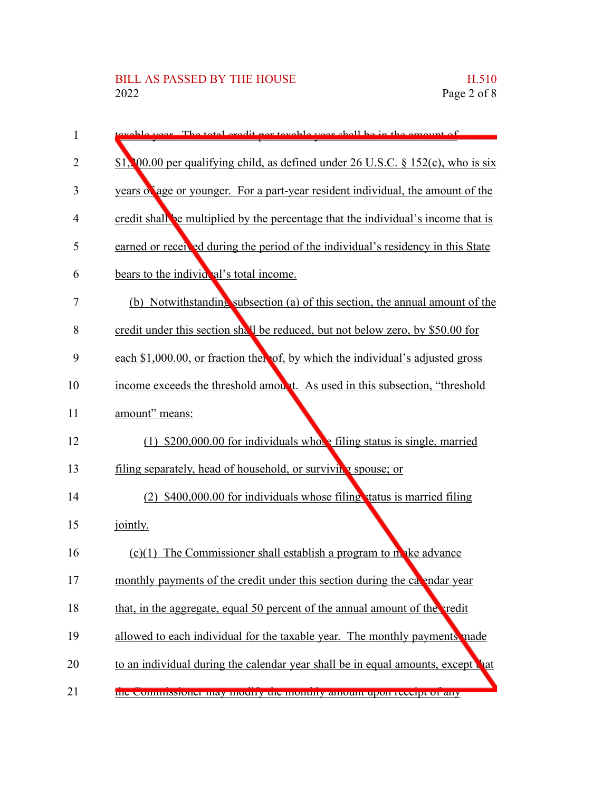| 1              | year The total credit per taxable year shall be in the amount of                     |
|----------------|--------------------------------------------------------------------------------------|
| 2              | \$1, 00.00 per qualifying child, as defined under 26 U.S.C. $\S 152(c)$ , who is six |
| 3              | years of age or younger. For a part-year resident individual, the amount of the      |
| 4              | credit shall be multiplied by the percentage that the individual's income that is    |
| 5              | earned or received during the period of the individual's residency in this State     |
| 6              | bears to the individenl's total income.                                              |
| $\overline{7}$ | (b) Notwithstanding subsection (a) of this section, the annual amount of the         |
| 8              | credit under this section shall be reduced, but not below zero, by \$50.00 for       |
| 9              | each \$1,000.00, or fraction then of, by which the individual's adjusted gross       |
| 10             | income exceeds the threshold amount. As used in this subsection, "threshold"         |
| 11             | amount" means:                                                                       |
| 12             | (1) $$200,000.00$ for individuals whote filing status is single, married             |
| 13             | filing separately, head of household, or surviving spouse; or                        |
| 14             | (2) \$400,000.00 for individuals whose filing status is married filing               |
| 15             | jointly.                                                                             |
| 16             | $(c)(1)$ The Commissioner shall establish a program to make advance                  |
| 17             | monthly payments of the credit under this section during the calendar year           |
| 18             | that, in the aggregate, equal 50 percent of the annual amount of the redit           |
| 19             | allowed to each individual for the taxable year. The monthly payments nade           |
| 20             | to an individual during the calendar year shall be in equal amounts, except that     |
| 21             | the commissioner may mourry the monthly amount upon receipt or any                   |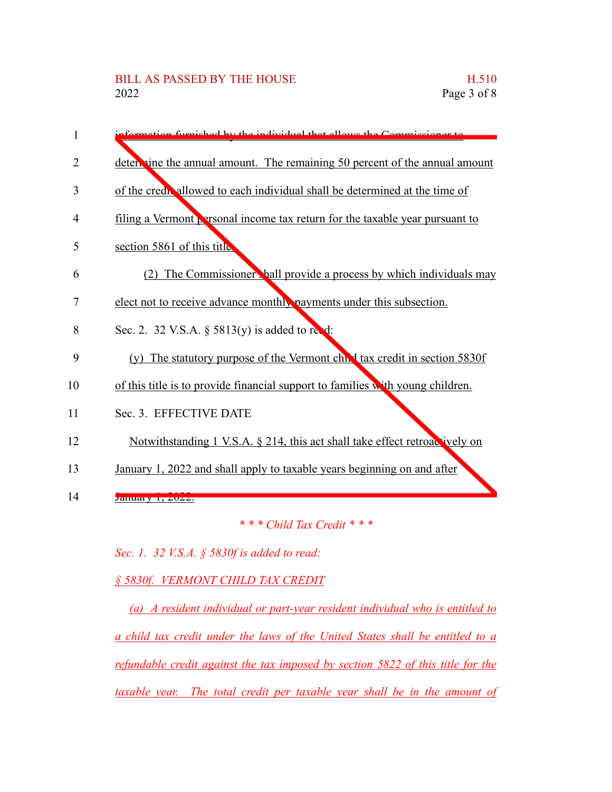| 1              | formation furnished by the individual that allows the Commissioner to                  |
|----------------|----------------------------------------------------------------------------------------|
| 2              | determine the annual amount. The remaining 50 percent of the annual amount             |
| 3              | of the credit allowed to each individual shall be determined at the time of            |
| $\overline{4}$ | filing a Vermont $\sqrt{r}$ arsonal income tax return for the taxable year pursuant to |
| 5              | section 5861 of this title                                                             |
| 6              | (2) The Commissioner hall provide a process by which individuals may                   |
| 7              | elect not to receive advance monthly payments under this subsection.                   |
| 8              | Sec. 2. 32 V.S.A. § 5813(y) is added to red:                                           |
| 9              | (y) The statutory purpose of the Vermont chief tax credit in section 5830f             |
| 10             | of this title is to provide financial support to families with young children.         |
| 11             | Sec. 3. EFFECTIVE DATE                                                                 |
| 12             | Notwithstanding 1 V.S.A. § 214, this act shall take effect retroactively on            |
| 13             | January 1, 2022 and shall apply to taxable years beginning on and after                |
| 14             | January 1, 2022.                                                                       |
|                | *** Child Tax Credit ***                                                               |

*Sec. 1. 32 V.S.A. § 5830f is added to read:*

*§ 5830f. VERMONT CHILD TAX CREDIT*

*(a) A resident individual or part-year resident individual who is entitled to a child tax credit under the laws of the United States shall be entitled to a refundable credit against the tax imposed by section 5822 of this title for the taxable year. The total credit per taxable year shall be in the amount of*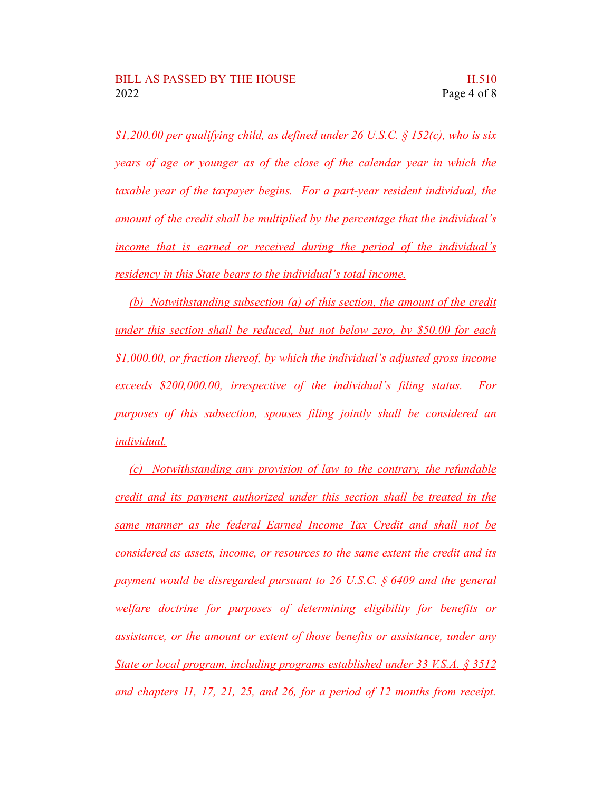*\$1,200.00 per qualifying child, as defined under 26 U.S.C. § 152(c), who is six years of age or younger as of the close of the calendar year in which the taxable year of the taxpayer begins. For a part-year resident individual, the amount of the credit shall be multiplied by the percentage that the individual's income that is earned or received during the period of the individual's residency in this State bears to the individual's total income.*

*(b) Notwithstanding subsection (a) of this section, the amount of the credit under this section shall be reduced, but not below zero, by \$50.00 for each \$1,000.00, or fraction thereof, by which the individual's adjusted gross income exceeds \$200,000.00, irrespective of the individual's filing status. For purposes of this subsection, spouses filing jointly shall be considered an individual.*

*(c) Notwithstanding any provision of law to the contrary, the refundable credit and its payment authorized under this section shall be treated in the same manner as the federal Earned Income Tax Credit and shall not be considered as assets, income, or resources to the same extent the credit and its payment would be disregarded pursuant to 26 U.S.C. § 6409 and the general welfare doctrine for purposes of determining eligibility for benefits or assistance, or the amount or extent of those benefits or assistance, under any State or local program, including programs established under 33 V.S.A. § 3512 and chapters 11, 17, 21, 25, and 26, for a period of 12 months from receipt.*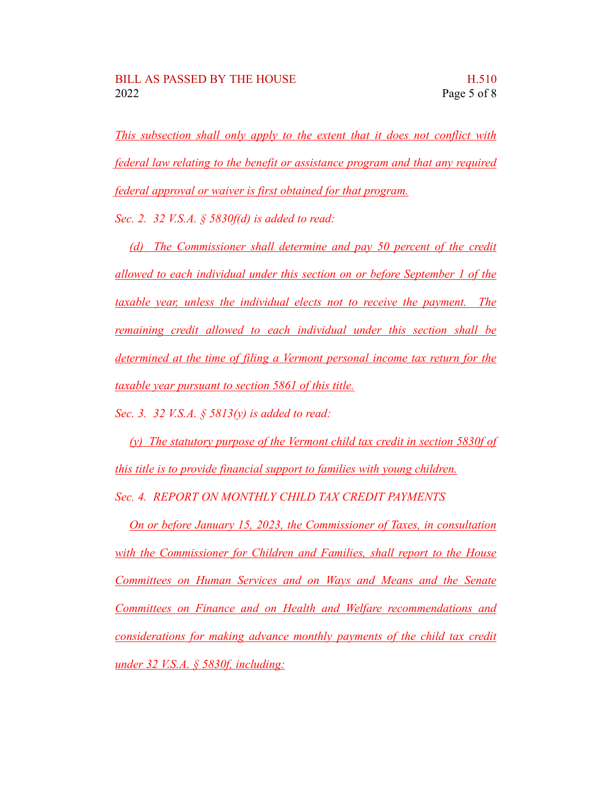*This subsection shall only apply to the extent that it does not conflict with federal law relating to the benefit or assistance program and that any required federal approval or waiver is first obtained for that program.*

*Sec. 2. 32 V.S.A. § 5830f(d) is added to read:*

*(d) The Commissioner shall determine and pay 50 percent of the credit allowed to each individual under this section on or before September 1 of the taxable year, unless the individual elects not to receive the payment. The remaining credit allowed to each individual under this section shall be determined at the time of filing a Vermont personal income tax return for the taxable year pursuant to section 5861 of this title.*

*Sec. 3. 32 V.S.A. § 5813(y) is added to read:*

*(y) The statutory purpose of the Vermont child tax credit in section 5830f of this title is to provide financial support to families with young children. Sec. 4. REPORT ON MONTHLY CHILD TAX CREDIT PAYMENTS*

*On or before January 15, 2023, the Commissioner of Taxes, in consultation with the Commissioner for Children and Families, shall report to the House Committees on Human Services and on Ways and Means and the Senate Committees on Finance and on Health and Welfare recommendations and considerations for making advance monthly payments of the child tax credit under 32 V.S.A. § 5830f, including:*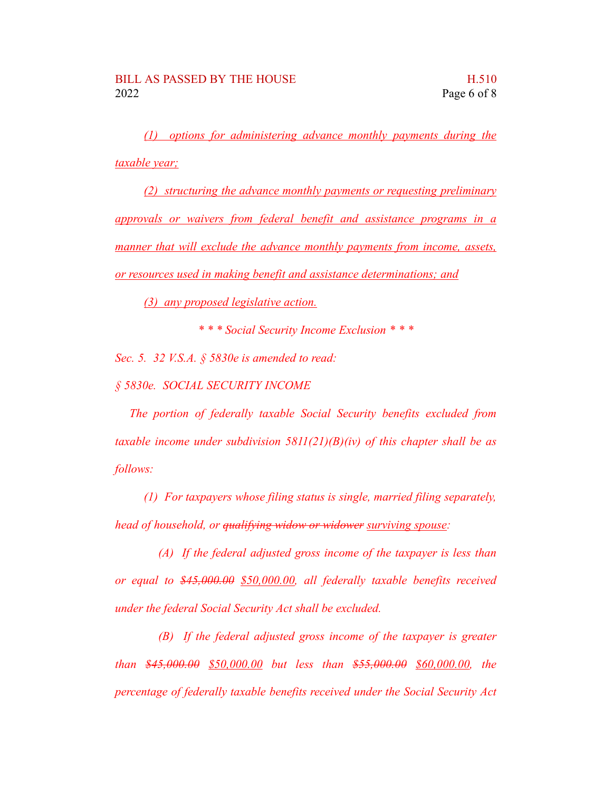*(1) options for administering advance monthly payments during the taxable year;*

*(2) structuring the advance monthly payments or requesting preliminary approvals or waivers from federal benefit and assistance programs in a manner that will exclude the advance monthly payments from income, assets, or resources used in making benefit and assistance determinations; and*

*(3) any proposed legislative action.*

*\* \* \* Social Security Income Exclusion \* \* \**

*Sec. 5. 32 V.S.A. § 5830e is amended to read:*

*§ 5830e. SOCIAL SECURITY INCOME*

*The portion of federally taxable Social Security benefits excluded from taxable income under subdivision 5811(21)(B)(iv) of this chapter shall be as follows:*

*(1) For taxpayers whose filing status is single, married filing separately, head of household, or qualifying widow or widower surviving spouse:*

*(A) If the federal adjusted gross income of the taxpayer is less than or equal to \$45,000.00 \$50,000.00, all federally taxable benefits received under the federal Social Security Act shall be excluded.*

*(B) If the federal adjusted gross income of the taxpayer is greater than \$45,000.00 \$50,000.00 but less than \$55,000.00 \$60,000.00, the percentage of federally taxable benefits received under the Social Security Act*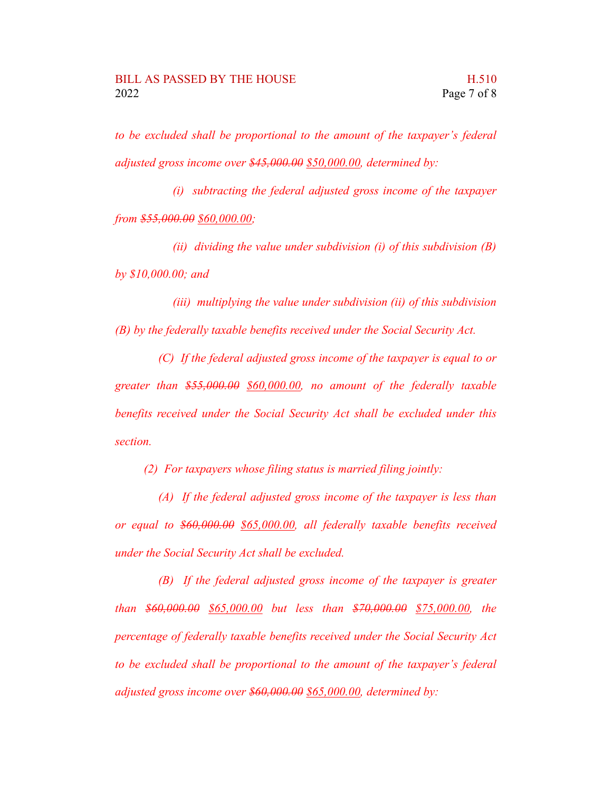*to be excluded shall be proportional to the amount of the taxpayer's federal adjusted gross income over \$45,000.00 \$50,000.00, determined by:*

*(i) subtracting the federal adjusted gross income of the taxpayer from \$55,000.00 \$60,000.00;*

*(ii) dividing the value under subdivision (i) of this subdivision (B) by \$10,000.00; and*

*(iii) multiplying the value under subdivision (ii) of this subdivision (B) by the federally taxable benefits received under the Social Security Act.*

*(C) If the federal adjusted gross income of the taxpayer is equal to or greater than \$55,000.00 \$60,000.00, no amount of the federally taxable benefits received under the Social Security Act shall be excluded under this section.*

*(2) For taxpayers whose filing status is married filing jointly:*

*(A) If the federal adjusted gross income of the taxpayer is less than or equal to \$60,000.00 \$65,000.00, all federally taxable benefits received under the Social Security Act shall be excluded.*

*(B) If the federal adjusted gross income of the taxpayer is greater than \$60,000.00 \$65,000.00 but less than \$70,000.00 \$75,000.00, the percentage of federally taxable benefits received under the Social Security Act to be excluded shall be proportional to the amount of the taxpayer's federal adjusted gross income over \$60,000.00 \$65,000.00, determined by:*